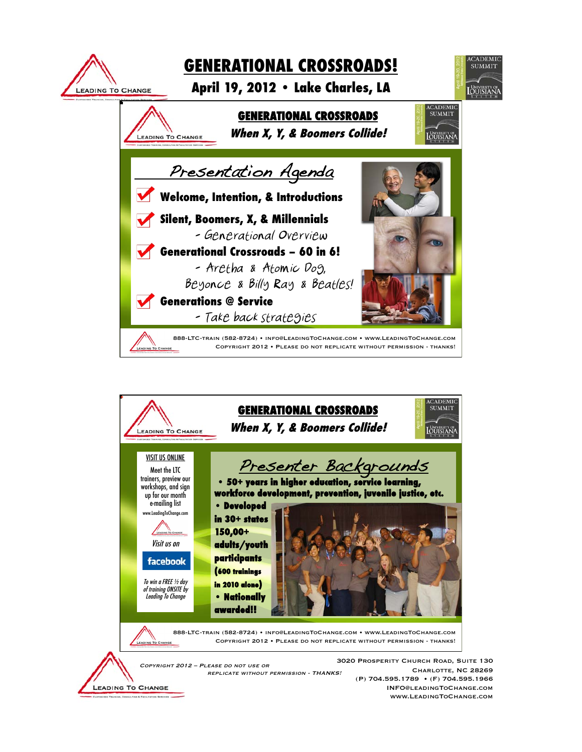

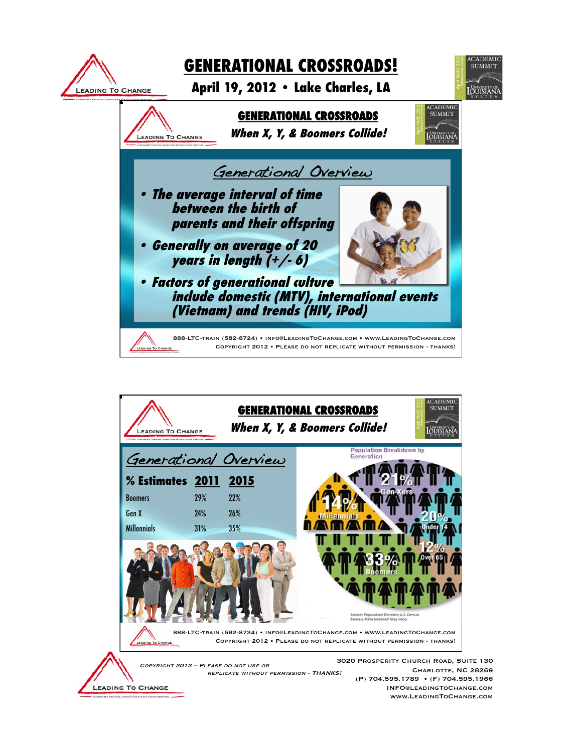

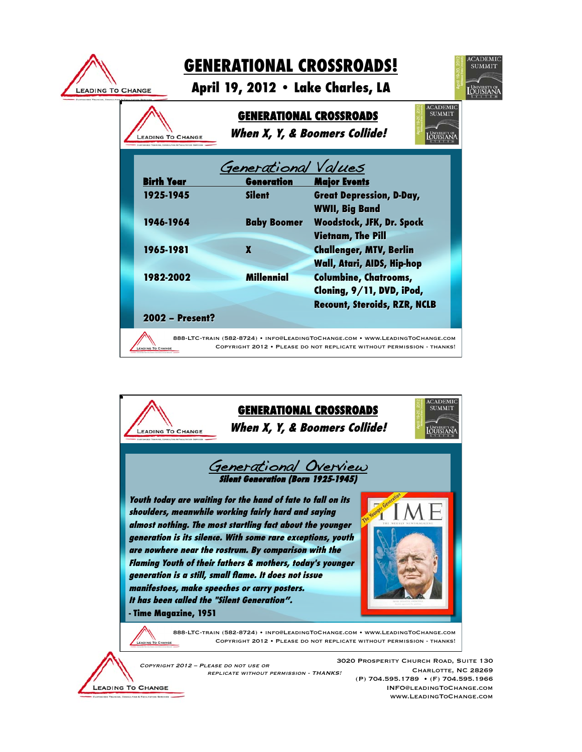

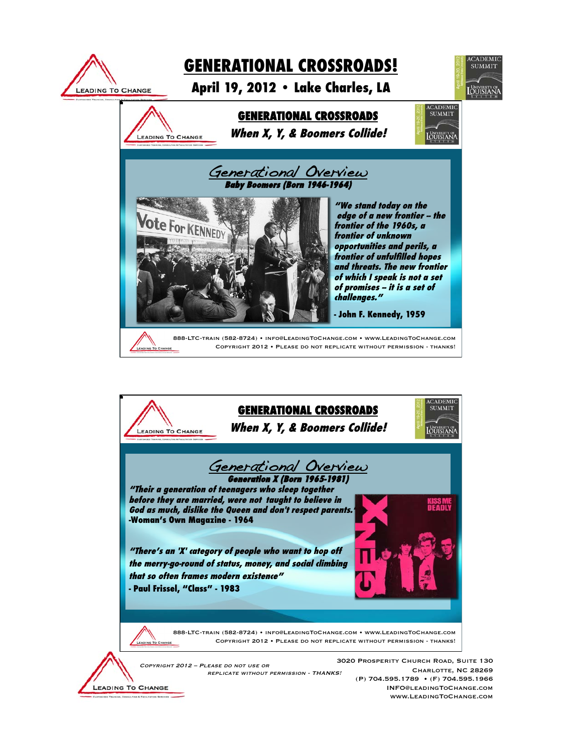

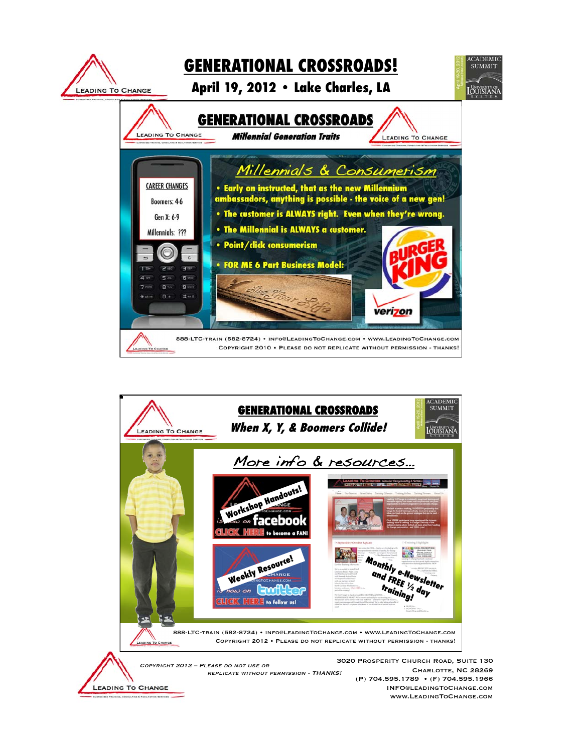